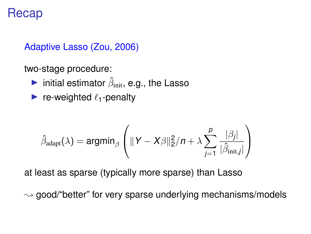## Recap

Adaptive Lasso (Zou, 2006)

two-stage procedure:

- **Finitial estimator**  $\hat{\beta}_{init}$ , e.g., the Lasso
- re-weighted  $\ell_1$ -penalty

$$
\hat{\beta}_{\mathrm{adapt}}(\lambda) = \mathrm{argmin}_{\beta} \left( \|Y - X\beta\|_2^2 / n + \lambda \sum_{j=1}^p \frac{|\beta_j|}{|\hat{\beta}_{\mathrm{init},j}|} \right)
$$

at least as sparse (typically more sparse) than Lasso

 $\rightsquigarrow$  good/"better" for very sparse underlying mechanisms/models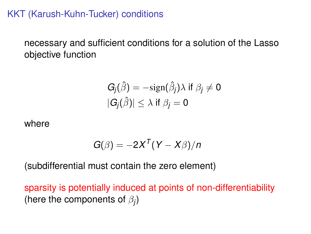KKT (Karush-Kuhn-Tucker) conditions

necessary and sufficient conditions for a solution of the Lasso objective function

$$
G_j(\hat{\beta}) = -\text{sign}(\hat{\beta}_j) \lambda \text{ if } \beta_j \neq 0
$$
  

$$
|G_j(\hat{\beta})| \leq \lambda \text{ if } \beta_j = 0
$$

where

$$
G(\beta)=-2X^{T}(Y-X\beta)/n
$$

(subdifferential must contain the zero element)

sparsity is potentially induced at points of non-differentiability (here the components of  $\beta_j$ )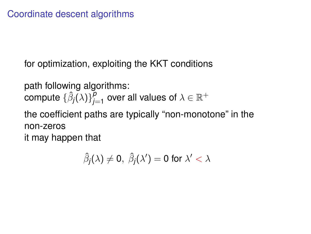for optimization, exploiting the KKT conditions

path following algorithms:  $\mathsf{compute} \left\{ \hat{\beta}_{j}(\lambda) \right\}_{j=1}^{p}$  $^{\rho}_{j=1}$  over all values of  $\lambda \in \mathbb{R}^+$ the coefficient paths are typically "non-monotone" in the non-zeros it may happen that

$$
\hat{\beta}_j(\lambda) \neq 0, \ \hat{\beta}_j(\lambda') = 0 \text{ for } \lambda' < \lambda
$$